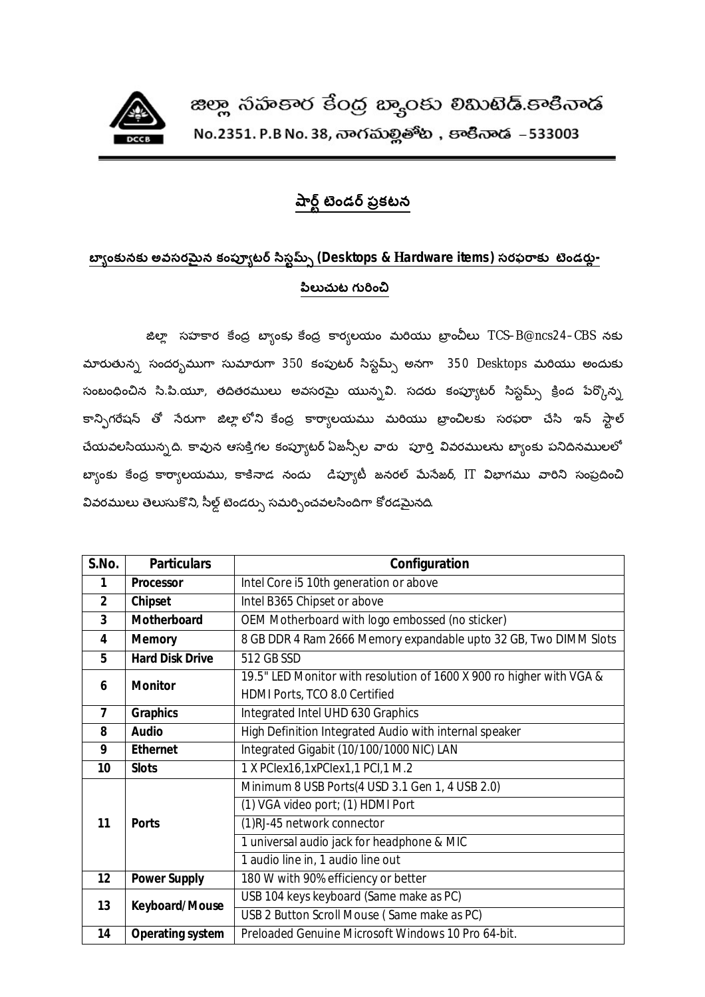

## <u>పార్ట్</u> టెండర్ ప్రకటన

## బ్యాంకునకు అవసరమైన కంప్యూటర్ సిస్టమ్స్ (Desktops & Hardware items) సరఫరాకు టెండర్లు-పిలుచుట గురించి

జిల్లా సహకార కేంద్ర బ్యాంకు కేంద్ర కార్యలయం మరియు బ్రాంచీలు TCS–B@ncs24–CBS నకు మారుతున్న సందర్భముగా సుమారుగా 350 కంపుటర్ సిస్టమ్స్ అనగా  $-350$  Desktops మరియు అందుకు సంబంధించిన సి.పి.యూ, తదితరములు అవసరమై యున్నవి. సదరు కంప్యూటర్ సిస్టమ్స్ క్రింద పేర్కొన్న కాన్ఫిగరేషన్ తో సేరుగా జిల్లాలోని కేంద్ర కార్యాలయము మరియు బ్రాంచిలకు సరఫరా చేసి ఇన్ స్టాల్ చేయవలసియున్నది. కావున ఆసక్తిగల కంప్యూటర్ ఏజన్సీల వారు బూర్తి వివరములను బ్యాంకు పనిదినములలో బ్యాంకు కేంద్ర కార్యాలయము, కాకినాడ నందు డిప్యూటీ జనరల్ మేసేజర్, IT విభాగము వారిని సంప్రదించి వివరములు తెలుసుకొని, సీల్డ్ టెండర్సు సమర్పించవలసిందిగా కోరడమైనది.

| S.No.                    | <b>Particulars</b>      | Configuration                                                        |
|--------------------------|-------------------------|----------------------------------------------------------------------|
| 1                        | <b>Processor</b>        | Intel Core i5 10th generation or above                               |
| $\mathbf{2}$             | Chipset                 | Intel B365 Chipset or above                                          |
| $\overline{3}$           | Motherboard             | OEM Motherboard with logo embossed (no sticker)                      |
| 4                        | <b>Memory</b>           | 8 GB DDR 4 Ram 2666 Memory expandable upto 32 GB, Two DIMM Slots     |
| 5                        | <b>Hard Disk Drive</b>  | 512 GB SSD                                                           |
| 6                        | <b>Monitor</b>          | 19.5" LED Monitor with resolution of 1600 X 900 ro higher with VGA & |
|                          |                         | HDMI Ports, TCO 8.0 Certified                                        |
| $\overline{\phantom{a}}$ | <b>Graphics</b>         | Integrated Intel UHD 630 Graphics                                    |
| 8                        | <b>Audio</b>            | High Definition Integrated Audio with internal speaker               |
| 9                        | <b>Ethernet</b>         | Integrated Gigabit (10/100/1000 NIC) LAN                             |
| 10                       | <b>Slots</b>            | 1 X PClex16,1xPClex1,1 PCI,1 M.2                                     |
| 11                       | <b>Ports</b>            | Minimum 8 USB Ports (4 USD 3.1 Gen 1, 4 USB 2.0)                     |
|                          |                         | (1) VGA video port; (1) HDMI Port                                    |
|                          |                         | (1)RJ-45 network connector                                           |
|                          |                         | 1 universal audio jack for headphone & MIC                           |
|                          |                         | 1 audio line in, 1 audio line out                                    |
| 12                       | <b>Power Supply</b>     | 180 W with 90% efficiency or better                                  |
| 13                       | <b>Keyboard/Mouse</b>   | USB 104 keys keyboard (Same make as PC)                              |
|                          |                         | USB 2 Button Scroll Mouse (Same make as PC)                          |
| 14                       | <b>Operating system</b> | Preloaded Genuine Microsoft Windows 10 Pro 64-bit.                   |